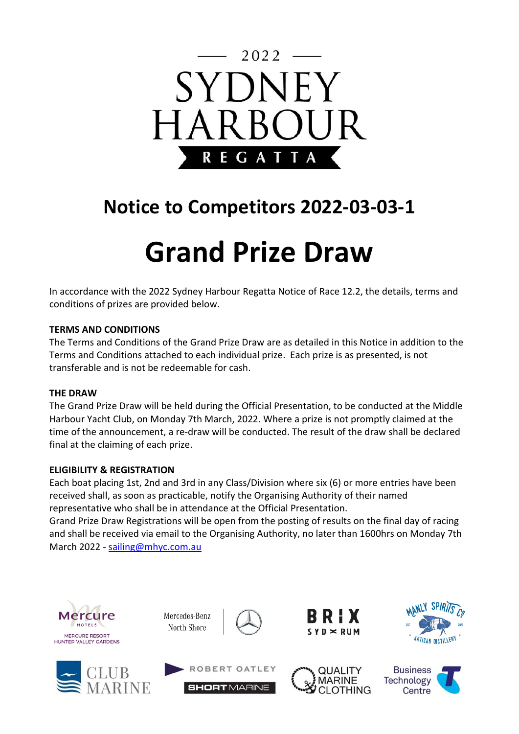

# **Notice to Competitors 2022-03-03-1**

# **Grand Prize Draw**

In accordance with the 2022 Sydney Harbour Regatta Notice of Race 12.2, the details, terms and conditions of prizes are provided below.

### **TERMS AND CONDITIONS**

The Terms and Conditions of the Grand Prize Draw are as detailed in this Notice in addition to the Terms and Conditions attached to each individual prize. Each prize is as presented, is not transferable and is not be redeemable for cash.

#### **THE DRAW**

The Grand Prize Draw will be held during the Official Presentation, to be conducted at the Middle Harbour Yacht Club, on Monday 7th March, 2022. Where a prize is not promptly claimed at the time of the announcement, a re-draw will be conducted. The result of the draw shall be declared final at the claiming of each prize.

#### **ELIGIBILITY & REGISTRATION**

Each boat placing 1st, 2nd and 3rd in any Class/Division where six (6) or more entries have been received shall, as soon as practicable, notify the Organising Authority of their named representative who shall be in attendance at the Official Presentation. Grand Prize Draw Registrations will be open from the posting of results on the final day of racing

and shall be received via email to the Organising Authority, no later than 1600hrs on Monday 7th March 2022 - sailing@mhyc.com.au